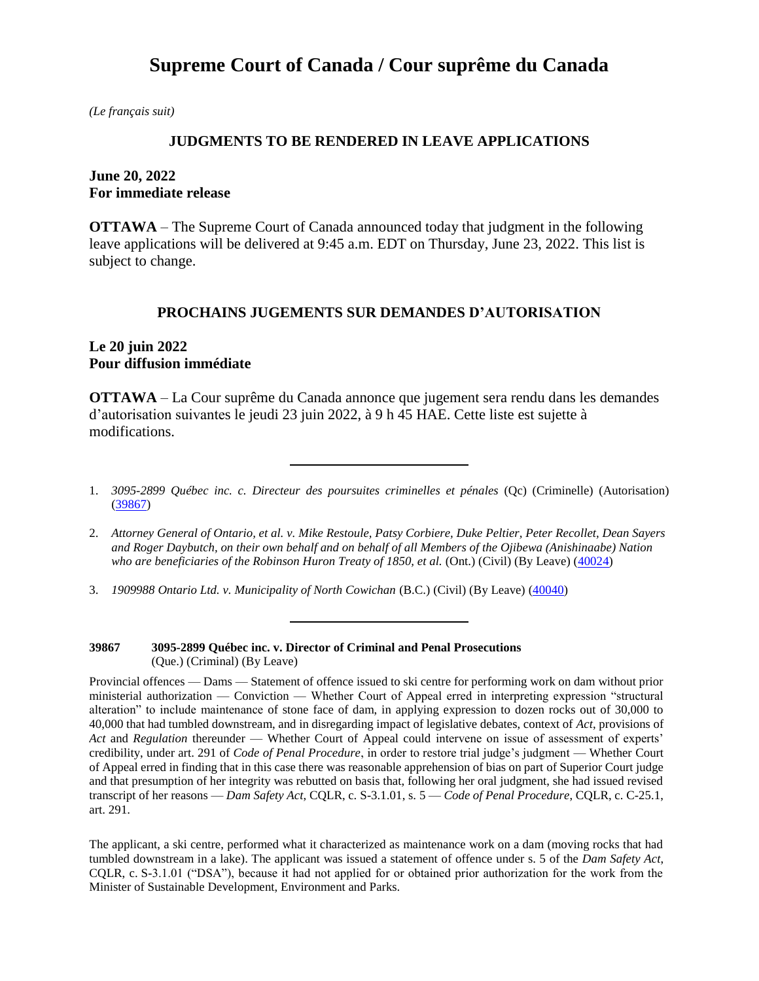# **Supreme Court of Canada / Cour suprême du Canada**

*(Le français suit)*

### **JUDGMENTS TO BE RENDERED IN LEAVE APPLICATIONS**

## **June 20, 2022 For immediate release**

**OTTAWA** – The Supreme Court of Canada announced today that judgment in the following leave applications will be delivered at 9:45 a.m. EDT on Thursday, June 23, 2022. This list is subject to change.

### **PROCHAINS JUGEMENTS SUR DEMANDES D'AUTORISATION**

## **Le 20 juin 2022 Pour diffusion immédiate**

**OTTAWA** – La Cour suprême du Canada annonce que jugement sera rendu dans les demandes d'autorisation suivantes le jeudi 23 juin 2022, à 9 h 45 HAE. Cette liste est sujette à modifications.

3. *1909988 Ontario Ltd. v. Municipality of North Cowichan* (B.C.) (Civil) (By Leave) [\(40040\)](https://www.scc-csc.ca/case-dossier/info/sum-som-eng.aspx?cas=40040)

**39867 3095-2899 Québec inc. v. Director of Criminal and Penal Prosecutions** (Que.) (Criminal) (By Leave)

Provincial offences — Dams — Statement of offence issued to ski centre for performing work on dam without prior ministerial authorization — Conviction — Whether Court of Appeal erred in interpreting expression "structural alteration" to include maintenance of stone face of dam, in applying expression to dozen rocks out of 30,000 to 40,000 that had tumbled downstream, and in disregarding impact of legislative debates, context of *Act*, provisions of *Act* and *Regulation* thereunder — Whether Court of Appeal could intervene on issue of assessment of experts' credibility, under art. 291 of *Code of Penal Procedure*, in order to restore trial judge's judgment — Whether Court of Appeal erred in finding that in this case there was reasonable apprehension of bias on part of Superior Court judge and that presumption of her integrity was rebutted on basis that, following her oral judgment, she had issued revised transcript of her reasons — *Dam Safety Act*, CQLR, c. S-3.1.01, s. 5 — *Code of Penal Procedure*, CQLR, c. C-25.1, art. 291.

The applicant, a ski centre, performed what it characterized as maintenance work on a dam (moving rocks that had tumbled downstream in a lake). The applicant was issued a statement of offence under s. 5 of the *Dam Safety Act*, CQLR, c. S-3.1.01 ("DSA"), because it had not applied for or obtained prior authorization for the work from the Minister of Sustainable Development, Environment and Parks.

<sup>1.</sup> *3095-2899 Québec inc. c. Directeur des poursuites criminelles et pénales* (Qc) (Criminelle) (Autorisation) [\(39867\)](https://www.scc-csc.ca/case-dossier/info/sum-som-fra.aspx?cas=39867)

<sup>2.</sup> *Attorney General of Ontario, et al. v. Mike Restoule, Patsy Corbiere, Duke Peltier, Peter Recollet, Dean Sayers and Roger Daybutch, on their own behalf and on behalf of all Members of the Ojibewa (Anishinaabe) Nation*  who are beneficiaries of the Robinson Huron Treaty of 1850, et al. (Ont.) (Civil) (By Leave) [\(40024\)](https://www.scc-csc.ca/case-dossier/info/sum-som-eng.aspx?cas=40024)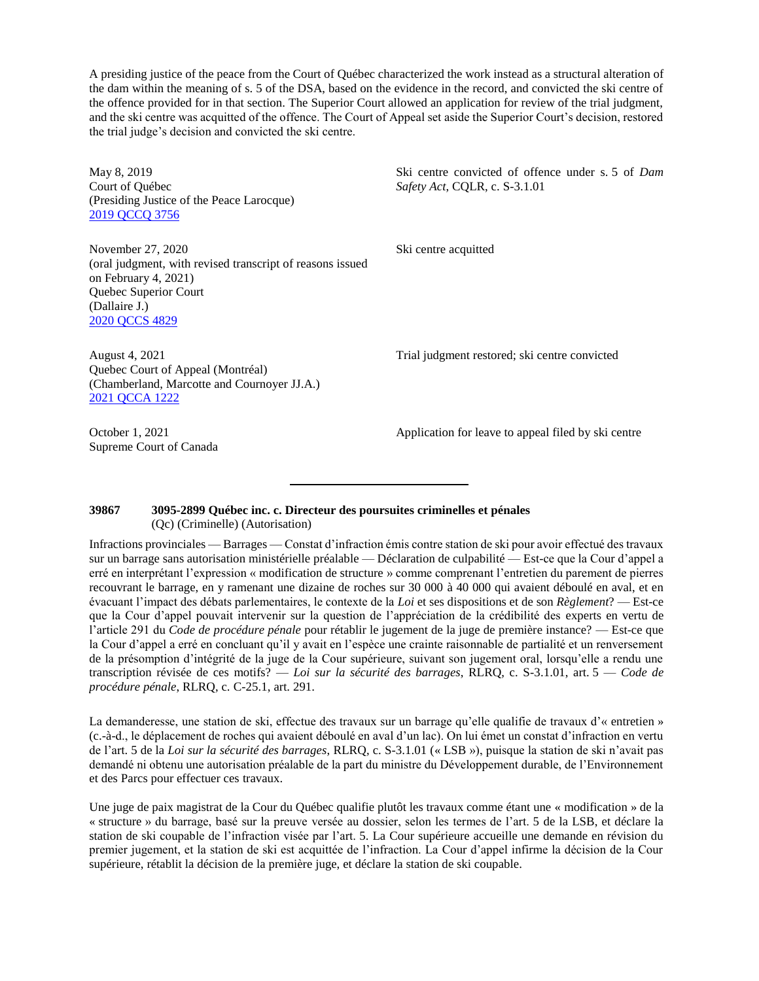A presiding justice of the peace from the Court of Québec characterized the work instead as a structural alteration of the dam within the meaning of s. 5 of the DSA, based on the evidence in the record, and convicted the ski centre of the offence provided for in that section. The Superior Court allowed an application for review of the trial judgment, and the ski centre was acquitted of the offence. The Court of Appeal set aside the Superior Court's decision, restored the trial judge's decision and convicted the ski centre.

May 8, 2019 Court of Québec (Presiding Justice of the Peace Larocque) [2019 QCCQ 3756](https://www.canlii.org/fr/qc/qccq/doc/2019/2019qccq3756/2019qccq3756.html?autocompleteStr=2019%20qccq%203756&autocompletePos=1)

Ski centre convicted of offence under s. 5 of *Dam Safety Act*, CQLR, c. S-3.1.01

Ski centre acquitted

November 27, 2020 (oral judgment, with revised transcript of reasons issued on February 4, 2021) Quebec Superior Court (Dallaire J.) [2020 QCCS 4829](https://canlii.ca/t/jd3s5)

August 4, 2021 Quebec Court of Appeal (Montréal) (Chamberland, Marcotte and Cournoyer JJ.A.) [2021 QCCA 1222](https://canlii.ca/t/jhdpf)

October 1, 2021 Supreme Court of Canada Trial judgment restored; ski centre convicted

Application for leave to appeal filed by ski centre

#### **39867 3095-2899 Québec inc. c. Directeur des poursuites criminelles et pénales** (Qc) (Criminelle) (Autorisation)

Infractions provinciales — Barrages — Constat d'infraction émis contre station de ski pour avoir effectué des travaux sur un barrage sans autorisation ministérielle préalable — Déclaration de culpabilité — Est-ce que la Cour d'appel a erré en interprétant l'expression « modification de structure » comme comprenant l'entretien du parement de pierres recouvrant le barrage, en y ramenant une dizaine de roches sur 30 000 à 40 000 qui avaient déboulé en aval, et en évacuant l'impact des débats parlementaires, le contexte de la *Loi* et ses dispositions et de son *Règlement*? — Est-ce que la Cour d'appel pouvait intervenir sur la question de l'appréciation de la crédibilité des experts en vertu de l'article 291 du *Code de procédure pénale* pour rétablir le jugement de la juge de première instance? — Est-ce que la Cour d'appel a erré en concluant qu'il y avait en l'espèce une crainte raisonnable de partialité et un renversement de la présomption d'intégrité de la juge de la Cour supérieure, suivant son jugement oral, lorsqu'elle a rendu une transcription révisée de ces motifs? — *Loi sur la sécurité des barrages*, RLRQ, c. S-3.1.01, art. 5 — *Code de procédure pénale*, RLRQ, c. C-25.1, art. 291.

La demanderesse, une station de ski, effectue des travaux sur un barrage qu'elle qualifie de travaux d'« entretien » (c.-à-d., le déplacement de roches qui avaient déboulé en aval d'un lac). On lui émet un constat d'infraction en vertu de l'art. 5 de la *Loi sur la sécurité des barrages*, RLRQ, c. S-3.1.01 (« LSB »), puisque la station de ski n'avait pas demandé ni obtenu une autorisation préalable de la part du ministre du Développement durable, de l'Environnement et des Parcs pour effectuer ces travaux.

Une juge de paix magistrat de la Cour du Québec qualifie plutôt les travaux comme étant une « modification » de la « structure » du barrage, basé sur la preuve versée au dossier, selon les termes de l'art. 5 de la LSB, et déclare la station de ski coupable de l'infraction visée par l'art. 5. La Cour supérieure accueille une demande en révision du premier jugement, et la station de ski est acquittée de l'infraction. La Cour d'appel infirme la décision de la Cour supérieure, rétablit la décision de la première juge, et déclare la station de ski coupable.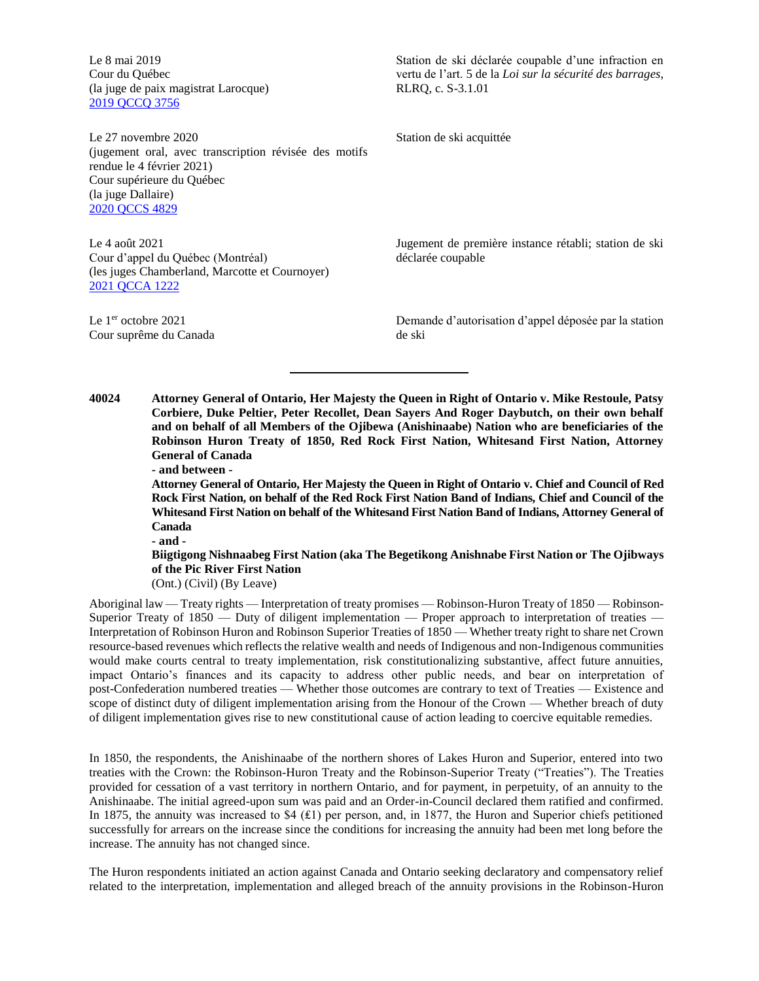Le 8 mai 2019 Cour du Québec (la juge de paix magistrat Larocque) [2019 QCCQ 3756](https://www.canlii.org/fr/qc/qccq/doc/2019/2019qccq3756/2019qccq3756.html?autocompleteStr=2019%20qccq%203756&autocompletePos=1)

Le 27 novembre 2020 (jugement oral, avec transcription révisée des motifs rendue le 4 février 2021) Cour supérieure du Québec (la juge Dallaire) [2020 QCCS 4829](https://canlii.ca/t/jd3s5)

Le 4 août 2021 Cour d'appel du Québec (Montréal) (les juges Chamberland, Marcotte et Cournoyer) [2021 QCCA 1222](https://canlii.ca/t/jhdpf)

Le 1<sup>er</sup> octobre 2021 Cour suprême du Canada

Station de ski déclarée coupable d'une infraction en vertu de l'art. 5 de la *Loi sur la sécurité des barrages*, RLRQ, c. S-3.1.01

Station de ski acquittée

Jugement de première instance rétabli; station de ski déclarée coupable

Demande d'autorisation d'appel déposée par la station de ski

**40024 Attorney General of Ontario, Her Majesty the Queen in Right of Ontario v. Mike Restoule, Patsy Corbiere, Duke Peltier, Peter Recollet, Dean Sayers And Roger Daybutch, on their own behalf and on behalf of all Members of the Ojibewa (Anishinaabe) Nation who are beneficiaries of the Robinson Huron Treaty of 1850, Red Rock First Nation, Whitesand First Nation, Attorney General of Canada**

**- and between -**

**Attorney General of Ontario, Her Majesty the Queen in Right of Ontario v. Chief and Council of Red Rock First Nation, on behalf of the Red Rock First Nation Band of Indians, Chief and Council of the Whitesand First Nation on behalf of the Whitesand First Nation Band of Indians, Attorney General of Canada**

**- and -**

### **Biigtigong Nishnaabeg First Nation (aka The Begetikong Anishnabe First Nation or The Ojibways of the Pic River First Nation**

(Ont.) (Civil) (By Leave)

Aboriginal law — Treaty rights — Interpretation of treaty promises — Robinson-Huron Treaty of 1850 — Robinson-Superior Treaty of 1850 — Duty of diligent implementation — Proper approach to interpretation of treaties — Interpretation of Robinson Huron and Robinson Superior Treaties of 1850 — Whether treaty right to share net Crown resource-based revenues which reflects the relative wealth and needs of Indigenous and non-Indigenous communities would make courts central to treaty implementation, risk constitutionalizing substantive, affect future annuities, impact Ontario's finances and its capacity to address other public needs, and bear on interpretation of post-Confederation numbered treaties — Whether those outcomes are contrary to text of Treaties — Existence and scope of distinct duty of diligent implementation arising from the Honour of the Crown — Whether breach of duty of diligent implementation gives rise to new constitutional cause of action leading to coercive equitable remedies.

In 1850, the respondents, the Anishinaabe of the northern shores of Lakes Huron and Superior, entered into two treaties with the Crown: the Robinson-Huron Treaty and the Robinson-Superior Treaty ("Treaties"). The Treaties provided for cessation of a vast territory in northern Ontario, and for payment, in perpetuity, of an annuity to the Anishinaabe. The initial agreed-upon sum was paid and an Order-in-Council declared them ratified and confirmed. In 1875, the annuity was increased to \$4 (₤1) per person, and, in 1877, the Huron and Superior chiefs petitioned successfully for arrears on the increase since the conditions for increasing the annuity had been met long before the increase. The annuity has not changed since.

The Huron respondents initiated an action against Canada and Ontario seeking declaratory and compensatory relief related to the interpretation, implementation and alleged breach of the annuity provisions in the Robinson-Huron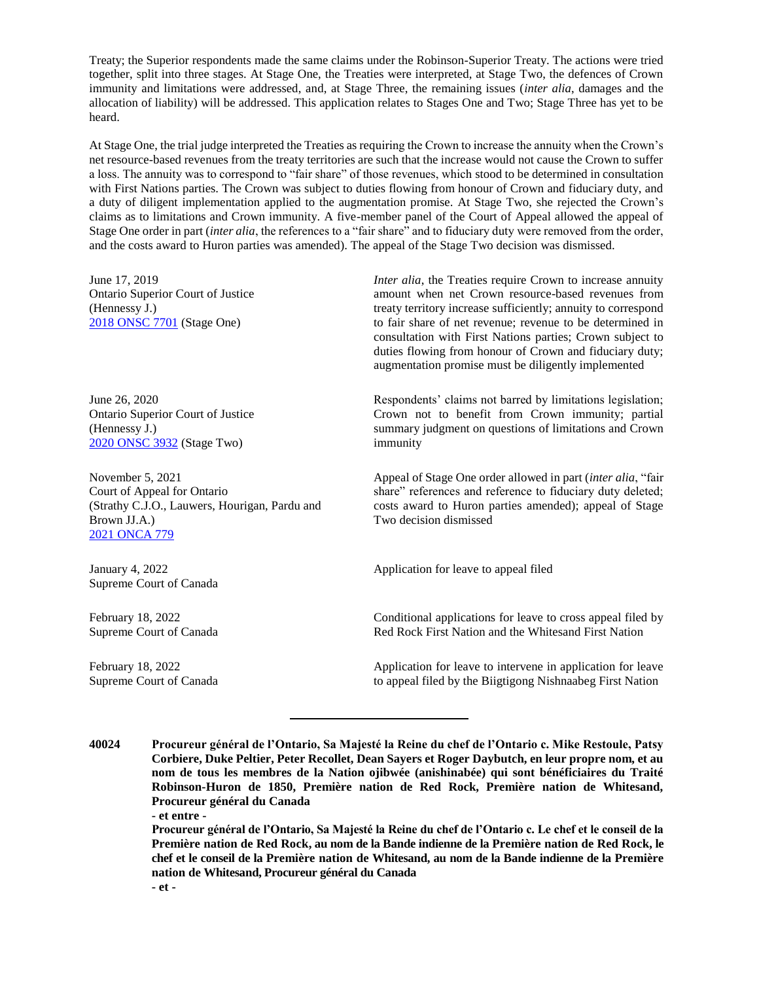Treaty; the Superior respondents made the same claims under the Robinson-Superior Treaty. The actions were tried together, split into three stages. At Stage One, the Treaties were interpreted, at Stage Two, the defences of Crown immunity and limitations were addressed, and, at Stage Three, the remaining issues (*inter alia*, damages and the allocation of liability) will be addressed. This application relates to Stages One and Two; Stage Three has yet to be heard.

At Stage One, the trial judge interpreted the Treaties as requiring the Crown to increase the annuity when the Crown's net resource-based revenues from the treaty territories are such that the increase would not cause the Crown to suffer a loss. The annuity was to correspond to "fair share" of those revenues, which stood to be determined in consultation with First Nations parties. The Crown was subject to duties flowing from honour of Crown and fiduciary duty, and a duty of diligent implementation applied to the augmentation promise. At Stage Two, she rejected the Crown's claims as to limitations and Crown immunity. A five-member panel of the Court of Appeal allowed the appeal of Stage One order in part (*inter alia*, the references to a "fair share" and to fiduciary duty were removed from the order, and the costs award to Huron parties was amended). The appeal of the Stage Two decision was dismissed.

June 17, 2019 Ontario Superior Court of Justice (Hennessy J.) [2018 ONSC 7701](https://www.canlii.org/en/on/onsc/doc/2018/2018onsc7701/2018onsc7701.html) (Stage One)

June 26, 2020 Ontario Superior Court of Justice (Hennessy J.) [2020 ONSC 3932](https://www.canlii.org/en/on/onsc/doc/2020/2020onsc3932/2020onsc3932.html) (Stage Two)

November 5, 2021 Court of Appeal for Ontario (Strathy C.J.O., Lauwers, Hourigan, Pardu and Brown JJ.A.) [2021 ONCA 779](https://www.canlii.org/en/on/onca/doc/2021/2021onca779/2021onca779.html?autocompleteStr=2021%20ONCA%20779&autocompletePos=1)

January 4, 2022 Supreme Court of Canada

February 18, 2022 Supreme Court of Canada

February 18, 2022 Supreme Court of Canada *Inter alia*, the Treaties require Crown to increase annuity amount when net Crown resource-based revenues from treaty territory increase sufficiently; annuity to correspond to fair share of net revenue; revenue to be determined in consultation with First Nations parties; Crown subject to duties flowing from honour of Crown and fiduciary duty; augmentation promise must be diligently implemented

Respondents' claims not barred by limitations legislation; Crown not to benefit from Crown immunity; partial summary judgment on questions of limitations and Crown immunity

Appeal of Stage One order allowed in part (*inter alia*, "fair share" references and reference to fiduciary duty deleted; costs award to Huron parties amended); appeal of Stage Two decision dismissed

Application for leave to appeal filed

Conditional applications for leave to cross appeal filed by Red Rock First Nation and the Whitesand First Nation

Application for leave to intervene in application for leave to appeal filed by the Biigtigong Nishnaabeg First Nation

**Procureur général de l'Ontario, Sa Majesté la Reine du chef de l'Ontario c. Le chef et le conseil de la Première nation de Red Rock, au nom de la Bande indienne de la Première nation de Red Rock, le chef et le conseil de la Première nation de Whitesand, au nom de la Bande indienne de la Première nation de Whitesand, Procureur général du Canada - et -**

**<sup>40024</sup> Procureur général de l'Ontario, Sa Majesté la Reine du chef de l'Ontario c. Mike Restoule, Patsy Corbiere, Duke Peltier, Peter Recollet, Dean Sayers et Roger Daybutch, en leur propre nom, et au nom de tous les membres de la Nation ojibwée (anishinabée) qui sont bénéficiaires du Traité Robinson-Huron de 1850, Première nation de Red Rock, Première nation de Whitesand, Procureur général du Canada - et entre -**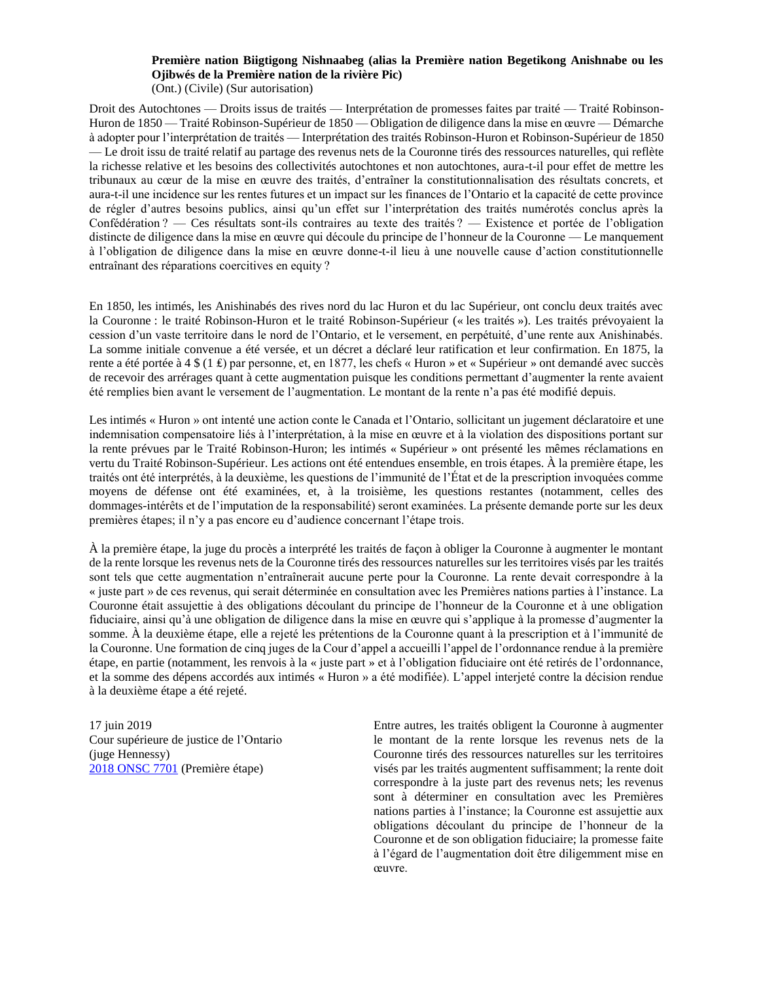# **Première nation Biigtigong Nishnaabeg (alias la Première nation Begetikong Anishnabe ou les Ojibwés de la Première nation de la rivière Pic)**

(Ont.) (Civile) (Sur autorisation)

Droit des Autochtones — Droits issus de traités — Interprétation de promesses faites par traité — Traité Robinson-Huron de 1850 — Traité Robinson-Supérieur de 1850 — Obligation de diligence dans la mise en œuvre — Démarche à adopter pour l'interprétation de traités — Interprétation des traités Robinson-Huron et Robinson-Supérieur de 1850 — Le droit issu de traité relatif au partage des revenus nets de la Couronne tirés des ressources naturelles, qui reflète la richesse relative et les besoins des collectivités autochtones et non autochtones, aura-t-il pour effet de mettre les tribunaux au cœur de la mise en œuvre des traités, d'entraîner la constitutionnalisation des résultats concrets, et aura-t-il une incidence sur les rentes futures et un impact sur les finances de l'Ontario et la capacité de cette province de régler d'autres besoins publics, ainsi qu'un effet sur l'interprétation des traités numérotés conclus après la Confédération ? — Ces résultats sont-ils contraires au texte des traités ? — Existence et portée de l'obligation distincte de diligence dans la mise en œuvre qui découle du principe de l'honneur de la Couronne — Le manquement à l'obligation de diligence dans la mise en œuvre donne-t-il lieu à une nouvelle cause d'action constitutionnelle entraînant des réparations coercitives en equity ?

En 1850, les intimés, les Anishinabés des rives nord du lac Huron et du lac Supérieur, ont conclu deux traités avec la Couronne : le traité Robinson-Huron et le traité Robinson-Supérieur (« les traités »). Les traités prévoyaient la cession d'un vaste territoire dans le nord de l'Ontario, et le versement, en perpétuité, d'une rente aux Anishinabés. La somme initiale convenue a été versée, et un décret a déclaré leur ratification et leur confirmation. En 1875, la rente a été portée à 4 \$ (1 ₤) par personne, et, en 1877, les chefs « Huron » et « Supérieur » ont demandé avec succès de recevoir des arrérages quant à cette augmentation puisque les conditions permettant d'augmenter la rente avaient été remplies bien avant le versement de l'augmentation. Le montant de la rente n'a pas été modifié depuis.

Les intimés « Huron » ont intenté une action conte le Canada et l'Ontario, sollicitant un jugement déclaratoire et une indemnisation compensatoire liés à l'interprétation, à la mise en œuvre et à la violation des dispositions portant sur la rente prévues par le Traité Robinson-Huron; les intimés « Supérieur » ont présenté les mêmes réclamations en vertu du Traité Robinson-Supérieur. Les actions ont été entendues ensemble, en trois étapes. À la première étape, les traités ont été interprétés, à la deuxième, les questions de l'immunité de l'État et de la prescription invoquées comme moyens de défense ont été examinées, et, à la troisième, les questions restantes (notamment, celles des dommages-intérêts et de l'imputation de la responsabilité) seront examinées. La présente demande porte sur les deux premières étapes; il n'y a pas encore eu d'audience concernant l'étape trois.

À la première étape, la juge du procès a interprété les traités de façon à obliger la Couronne à augmenter le montant de la rente lorsque les revenus nets de la Couronne tirés des ressources naturelles sur les territoires visés par les traités sont tels que cette augmentation n'entraînerait aucune perte pour la Couronne. La rente devait correspondre à la « juste part » de ces revenus, qui serait déterminée en consultation avec les Premières nations parties à l'instance. La Couronne était assujettie à des obligations découlant du principe de l'honneur de la Couronne et à une obligation fiduciaire, ainsi qu'à une obligation de diligence dans la mise en œuvre qui s'applique à la promesse d'augmenter la somme. À la deuxième étape, elle a rejeté les prétentions de la Couronne quant à la prescription et à l'immunité de la Couronne. Une formation de cinq juges de la Cour d'appel a accueilli l'appel de l'ordonnance rendue à la première étape, en partie (notamment, les renvois à la « juste part » et à l'obligation fiduciaire ont été retirés de l'ordonnance, et la somme des dépens accordés aux intimés « Huron » a été modifiée). L'appel interjeté contre la décision rendue à la deuxième étape a été rejeté.

17 juin 2019 Cour supérieure de justice de l'Ontario (juge Hennessy) [2018 ONSC 7701](https://www.canlii.org/en/on/onsc/doc/2018/2018onsc7701/2018onsc7701.html) (Première étape)

Entre autres, les traités obligent la Couronne à augmenter le montant de la rente lorsque les revenus nets de la Couronne tirés des ressources naturelles sur les territoires visés par les traités augmentent suffisamment; la rente doit correspondre à la juste part des revenus nets; les revenus sont à déterminer en consultation avec les Premières nations parties à l'instance; la Couronne est assujettie aux obligations découlant du principe de l'honneur de la Couronne et de son obligation fiduciaire; la promesse faite à l'égard de l'augmentation doit être diligemment mise en œuvre.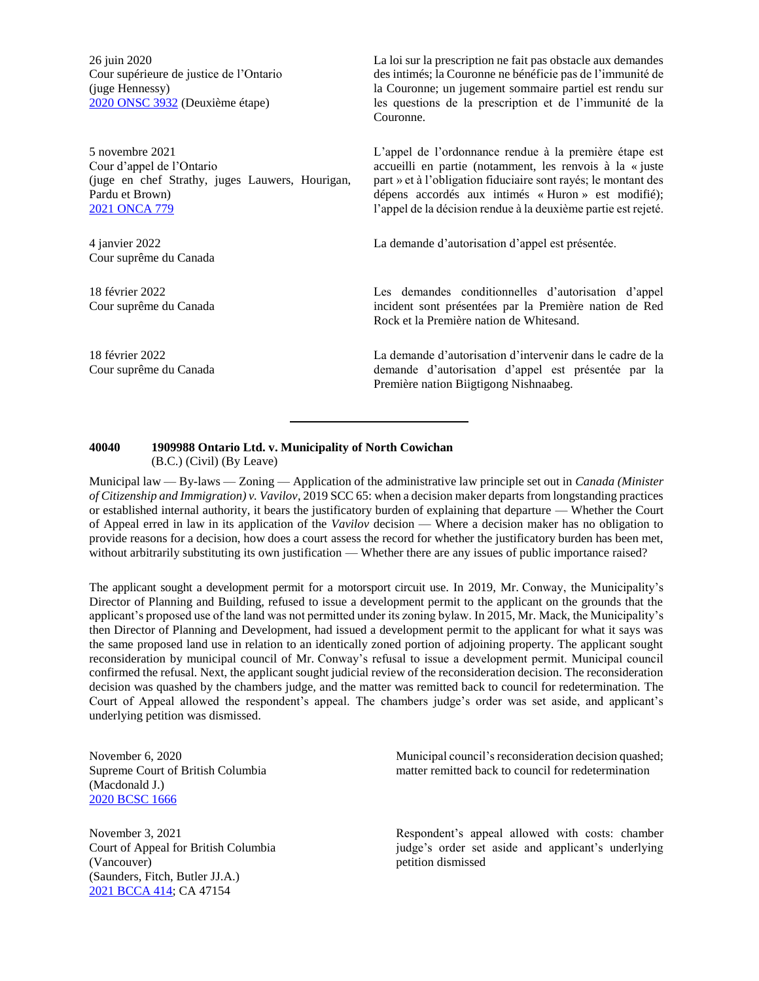26 juin 2020 Cour supérieure de justice de l'Ontario (juge Hennessy) [2020 ONSC 3932](https://www.canlii.org/en/on/onsc/doc/2020/2020onsc3932/2020onsc3932.html) (Deuxième étape)

5 novembre 2021 Cour d'appel de l'Ontario (juge en chef Strathy, juges Lauwers, Hourigan, Pardu et Brown) [2021 ONCA 779](https://www.canlii.org/en/on/onca/doc/2021/2021onca779/2021onca779.html?autocompleteStr=2021%20ONCA%20779&autocompletePos=1)

4 janvier 2022 Cour suprême du Canada

18 février 2022 Cour suprême du Canada

18 février 2022 Cour suprême du Canada La loi sur la prescription ne fait pas obstacle aux demandes des intimés; la Couronne ne bénéficie pas de l'immunité de la Couronne; un jugement sommaire partiel est rendu sur les questions de la prescription et de l'immunité de la Couronne.

L'appel de l'ordonnance rendue à la première étape est accueilli en partie (notamment, les renvois à la « juste part » et à l'obligation fiduciaire sont rayés; le montant des dépens accordés aux intimés « Huron » est modifié); l'appel de la décision rendue à la deuxième partie est rejeté.

La demande d'autorisation d'appel est présentée.

Les demandes conditionnelles d'autorisation d'appel incident sont présentées par la Première nation de Red Rock et la Première nation de Whitesand.

La demande d'autorisation d'intervenir dans le cadre de la demande d'autorisation d'appel est présentée par la Première nation Biigtigong Nishnaabeg.

#### **40040 1909988 Ontario Ltd. v. Municipality of North Cowichan** (B.C.) (Civil) (By Leave)

Municipal law — By-laws — Zoning — Application of the administrative law principle set out in *Canada (Minister of Citizenship and Immigration) v. Vavilov*, 2019 SCC 65: when a decision maker departs from longstanding practices or established internal authority, it bears the justificatory burden of explaining that departure — Whether the Court of Appeal erred in law in its application of the *Vavilov* decision — Where a decision maker has no obligation to provide reasons for a decision, how does a court assess the record for whether the justificatory burden has been met, without arbitrarily substituting its own justification — Whether there are any issues of public importance raised?

The applicant sought a development permit for a motorsport circuit use. In 2019, Mr. Conway, the Municipality's Director of Planning and Building, refused to issue a development permit to the applicant on the grounds that the applicant's proposed use of the land was not permitted under its zoning bylaw. In 2015, Mr. Mack, the Municipality's then Director of Planning and Development, had issued a development permit to the applicant for what it says was the same proposed land use in relation to an identically zoned portion of adjoining property. The applicant sought reconsideration by municipal council of Mr. Conway's refusal to issue a development permit. Municipal council confirmed the refusal. Next, the applicant sought judicial review of the reconsideration decision. The reconsideration decision was quashed by the chambers judge, and the matter was remitted back to council for redetermination. The Court of Appeal allowed the respondent's appeal. The chambers judge's order was set aside, and applicant's underlying petition was dismissed.

November 6, 2020 Supreme Court of British Columbia (Macdonald J.) [2020 BCSC 1666](https://canlii.ca/t/jbhwz)

November 3, 2021 Court of Appeal for British Columbia (Vancouver) (Saunders, Fitch, Butler JJ.A.) [2021 BCCA 414;](https://canlii.ca/t/jk4h6) CA 47154

Municipal council's reconsideration decision quashed; matter remitted back to council for redetermination

Respondent's appeal allowed with costs: chamber judge's order set aside and applicant's underlying petition dismissed